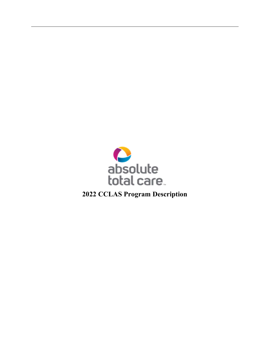

2022 CCLAS Program Description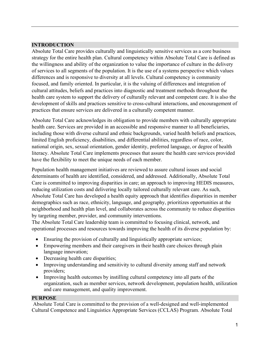# INTRODUCTION

Absolute Total Care provides culturally and linguistically sensitive services as a core business strategy for the entire health plan. Cultural competency within Absolute Total Care is defined as the willingness and ability of the organization to value the importance of culture in the delivery of services to all segments of the population. It is the use of a systems perspective which values differences and is responsive to diversity at all levels. Cultural competency is community focused, and family oriented. In particular, it is the valuing of differences and integration of cultural attitudes, beliefs and practices into diagnostic and treatment methods throughout the health care system to support the delivery of culturally relevant and competent care. It is also the development of skills and practices sensitive to cross-cultural interactions, and encouragement of practices that ensure services are delivered in a culturally competent manner.

Absolute Total Care acknowledges its obligation to provide members with culturally appropriate health care. Services are provided in an accessible and responsive manner to all beneficiaries, including those with diverse cultural and ethnic backgrounds, varied health beliefs and practices, limited English proficiency, disabilities, and differential abilities, regardless of race, color, national origin, sex, sexual orientation, gender identity, preferred language, or degree of health literacy. Absolute Total Care implements processes that assure the health care services provided have the flexibility to meet the unique needs of each member.

Population health management initiatives are reviewed to assure cultural issues and social determinants of health are identified, considered, and addressed. Additionally, Absolute Total Care is committed to improving disparities in care; an approach to improving HEDIS measures, reducing utilization costs and delivering locally tailored culturally relevant care. As such, Absolute Total Care has developed a health equity approach that identifies disparities in member demographics such as race, ethnicity, language, and geography, prioritizes opportunities at the neighborhood and health plan level, and collaborates across the community to reduce disparities by targeting member, provider, and community interventions.

The Absolute Total Care leadership team is committed to focusing clinical, network, and operational processes and resources towards improving the health of its diverse population by:

- Ensuring the provision of culturally and linguistically appropriate services;
- Empowering members and their caregivers in their health care choices through plain language innovation;
- Decreasing health care disparities;
- Improving understanding and sensitivity to cultural diversity among staff and network providers;
- Improving health outcomes by instilling cultural competency into all parts of the organization, such as member services, network development, population health, utilization and care management, and quality improvement.

#### PURPOSE

Absolute Total Care is committed to the provision of a well-designed and well-implemented Cultural Competence and Linguistics Appropriate Services (CCLAS) Program. Absolute Total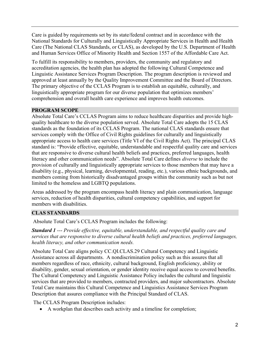Care is guided by requirements set by its state/federal contract and in accordance with the National Standards for Culturally and Linguistically Appropriate Services in Health and Health Care (The National CLAS Standards, or CLAS), as developed by the U.S. Department of Health and Human Services Office of Minority Health and Section 1557 of the Affordable Care Act.

To fulfill its responsibility to members, providers, the community and regulatory and accreditation agencies, the health plan has adopted the following Cultural Competence and Linguistic Assistance Services Program Description. The program description is reviewed and approved at least annually by the Quality Improvement Committee and the Board of Directors. The primary objective of the CCLAS Program is to establish an equitable, culturally, and linguistically appropriate program for our diverse population that optimizes members' comprehension and overall health care experience and improves health outcomes.

#### PROGRAM SCOPE

Absolute Total Care's CCLAS Program aims to reduce healthcare disparities and provide highquality healthcare to the diverse population served. Absolute Total Care adopts the 15 CLAS standards as the foundation of its CCLAS Program. The national CLAS standards ensure that services comply with the Office of Civil Rights guidelines for culturally and linguistically appropriate access to health care services (Title VI of the Civil Rights Act). The principal CLAS standard is: "Provide effective, equitable, understandable and respectful quality care and services that are responsive to diverse cultural health beliefs and practices, preferred languages, health literacy and other communication needs". Absolute Total Care defines diverse to include the provision of culturally and linguistically appropriate services to those members that may have a disability (e.g., physical, learning, developmental, reading, etc.), various ethnic backgrounds, and members coming from historically disadvantaged groups within the community such as but not limited to the homeless and LGBTQ populations.

Areas addressed by the program encompass health literacy and plain communication, language services, reduction of health disparities, cultural competency capabilities, and support for members with disabilities.

# CLAS STANDARDS

Absolute Total Care's CCLAS Program includes the following:

**Standard 1 ---** Provide effective, equitable, understandable, and respectful quality care and services that are responsive to diverse cultural health beliefs and practices, preferred languages, health literacy, and other communication needs.

Absolute Total Care aligns policy CC.QI.CLAS.29 Cultural Competency and Linguistic Assistance across all departments. A nondiscrimination policy such as this assures that all members regardless of race, ethnicity, cultural background, English proficiency, ability or disability, gender, sexual orientation, or gender identity receive equal access to covered benefits. The Cultural Competency and Linguistic Assistance Policy includes the cultural and linguistic services that are provided to members, contracted providers, and major subcontractors. Absolute Total Care maintains this Cultural Competence and Linguistics Assistance Services Program Description that assures compliance with the Principal Standard of CLAS.

The CCLAS Program Description includes:

A workplan that describes each activity and a timeline for completion;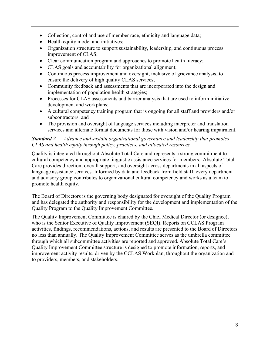- Collection, control and use of member race, ethnicity and language data;
- Health equity model and initiatives;
- Organization structure to support sustainability, leadership, and continuous process improvement of CLAS;
- Clear communication program and approaches to promote health literacy;
- CLAS goals and accountability for organizational alignment;
- Continuous process improvement and oversight, inclusive of grievance analysis, to ensure the delivery of high quality CLAS services;
- Community feedback and assessments that are incorporated into the design and implementation of population health strategies;
- Processes for CLAS assessments and barrier analysis that are used to inform initiative development and workplans;
- A cultural competency training program that is ongoing for all staff and providers and/or subcontractors; and
- The provision and oversight of language services including interpreter and translation services and alternate format documents for those with vision and/or hearing impairment.

## Standard 2 --- Advance and sustain organizational governance and leadership that promotes CLAS and health equity through policy, practices, and allocated resources.

Quality is integrated throughout Absolute Total Care and represents a strong commitment to cultural competency and appropriate linguistic assistance services for members. Absolute Total Care provides direction, overall support, and oversight across departments in all aspects of language assistance services. Informed by data and feedback from field staff, every department and advisory group contributes to organizational cultural competency and works as a team to promote health equity.

The Board of Directors is the governing body designated for oversight of the Quality Program and has delegated the authority and responsibility for the development and implementation of the Quality Program to the Quality Improvement Committee.

The Quality Improvement Committee is chaired by the Chief Medical Director (or designee), who is the Senior Executive of Quality Improvement (SEQI). Reports on CCLAS Program activities, findings, recommendations, actions, and results are presented to the Board of Directors no less than annually. The Quality Improvement Committee serves as the umbrella committee through which all subcommittee activities are reported and approved. Absolute Total Care's Quality Improvement Committee structure is designed to promote information, reports, and improvement activity results, driven by the CCLAS Workplan, throughout the organization and to providers, members, and stakeholders.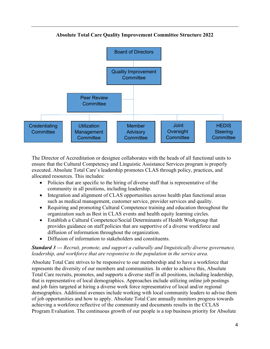

Absolute Total Care Quality Improvement Committee Structure 2022

The Director of Accreditation or designee collaborates with the heads of all functional units to ensure that the Cultural Competency and Linguistic Assistance Services program is properly executed. Absolute Total Care's leadership promotes CLAS through policy, practices, and allocated resources. This includes:

- Policies that are specific to the hiring of diverse staff that is representative of the community in all positions, including leadership.
- Integration and alignment of CLAS opportunities across health plan functional areas such as medical management, customer service, provider services and quality.
- Requiring and promoting Cultural Competence training and education throughout the organization such as Best in CLAS events and health equity learning circles.
- Establish a Cultural Competence/Social Determinants of Health Workgroup that provides guidance on staff policies that are supportive of a diverse workforce and diffusion of information throughout the organization.
- Diffusion of information to stakeholders and constituents.

## **Standard 3** --- Recruit, promote, and support a culturally and linguistically diverse governance, leadership, and workforce that are responsive to the population in the service area.

Absolute Total Care strives to be responsive to our membership and to have a workforce that represents the diversity of our members and communities. In order to achieve this, Absolute Total Care recruits, promotes, and supports a diverse staff in all positions, including leadership, that is representative of local demographics. Approaches include utilizing online job postings and job fairs targeted at hiring a diverse work force representative of local and/or regional demographics. Additional avenues include working with local community leaders to advise them of job opportunities and how to apply. Absolute Total Care annually monitors progress towards achieving a workforce reflective of the community and documents results in the CCLAS Program Evaluation. The continuous growth of our people is a top business priority for Absolute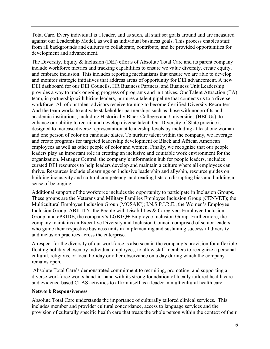Total Care. Every individual is a leader, and as such, all staff set goals around and are measured against our Leadership Model, as well as individual business goals. This process enables staff from all backgrounds and cultures to collaborate, contribute, and be provided opportunities for development and advancement.

The Diversity, Equity & Inclusion (DEI) efforts of Absolute Total Care and its parent company include workforce metrics and tracking capabilities to ensure we value diversity, create equity, and embrace inclusion. This includes reporting mechanisms that ensure we are able to develop and monitor strategic initiatives that address areas of opportunity for DEI advancement. A new DEI dashboard for our DEI Councils, HR Business Partners, and Business Unit Leadership provides a way to track ongoing progress of programs and initiatives. Our Talent Attraction (TA) team, in partnership with hiring leaders, nurtures a talent pipeline that connects us to a diverse workforce. All of our talent advisors receive training to become Certified Diversity Recruiters. And the team works to activate stakeholder partnerships such as those with nonprofits and academic institutions, including Historically Black Colleges and Universities (HBCUs), to enhance our ability to recruit and develop diverse talent. Our Diversity of Slate practice is designed to increase diverse representation at leadership levels by including at least one woman and one person of color on candidate slates. To nurture talent within the company, we leverage and create programs for targeted leadership development of Black and African American employees as well as other people of color and women. Finally, we recognize that our people leaders play an important role in creating an inclusive and equitable work environment for the organization. Manager Central, the company's information hub for people leaders, includes curated DEI resources to help leaders develop and maintain a culture where all employees can thrive. Resources include eLearnings on inclusive leadership and allyship, resource guides on building inclusivity and cultural competency, and reading lists on disrupting bias and building a sense of belonging.

Additional support of the workforce includes the opportunity to participate in Inclusion Groups. These groups are the Veterans and Military Families Employee Inclusion Group (CENVET); the Multicultural Employee Inclusion Group (MOSAIC); I.N.S.P.I.R.E., the Women's Employee Inclusion Group; ABILITY, the People with Disabilities & Caregivers Employee Inclusion Group; and cPRIDE, the company's LGBTQ+ Employee Inclusion Group. Furthermore, the company maintains an Executive Diversity and Inclusion Council comprised of senior leaders who guide their respective business units in implementing and sustaining successful diversity and inclusion practices across the enterprise.

A respect for the diversity of our workforce is also seen in the company's provision for a flexible floating holiday chosen by individual employees, to allow staff members to recognize a personal cultural, religious, or local holiday or other observance on a day during which the company remains open.

Absolute Total Care's demonstrated commitment to recruiting, promoting, and supporting a diverse workforce works hand-in-hand with its strong foundation of locally tailored health care and evidence-based CLAS activities to affirm itself as a leader in multicultural health care.

#### Network Responsiveness

Absolute Total Care understands the importance of culturally tailored clinical services. This includes member and provider cultural concordance, access to language services and the provision of culturally specific health care that treats the whole person within the context of their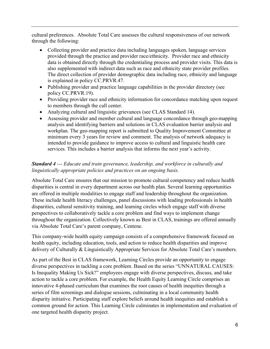cultural preferences. Absolute Total Care assesses the cultural responsiveness of our network through the following:

- Collecting provider and practice data including languages spoken, language services provided through the practice and provider race/ethnicity. Provider race and ethnicity data is obtained directly through the credentialing process and provider visits. This data is also supplemented with indirect data such as race and ethnicity state provider profiles. The direct collection of provider demographic data including race, ethnicity and language is explained in policy CC.PRVR.47.
- Publishing provider and practice language capabilities in the provider directory (see policy CC.PRVR.19).
- Providing provider race and ethnicity information for concordance matching upon request to members through the call center.
- Analyzing cultural and linguistic grievances (see CLAS Standard 14).
- Assessing provider and member cultural and language concordance through geo-mapping analysis and identifying barriers and solutions in CLAS evaluation barrier analysis and workplan. The geo-mapping report is submitted to Quality Improvement Committee at minimum every 3 years for review and comment. The analysis of network adequacy is intended to provide guidance to improve access to cultural and linguistic health care services. This includes a barrier analysis that informs the next year's activity.

# **Standard 4 ---** Educate and train governance, leadership, and workforce in culturally and linguistically appropriate policies and practices on an ongoing basis.

Absolute Total Care ensures that our mission to promote cultural competency and reduce health disparities is central in every department across our health plan. Several learning opportunities are offered in multiple modalities to engage staff and leadership throughout the organization. These include health literacy challenges, panel discussions with leading professionals in health disparities, cultural sensitivity training, and learning circles which engage staff with diverse perspectives to collaboratively tackle a core problem and find ways to implement change throughout the organization. Collectively known as Best in CLAS, trainings are offered annually via Absolute Total Care's parent company, Centene.

This company-wide health equity campaign consists of a comprehensive framework focused on health equity, including education, tools, and action to reduce health disparities and improve delivery of Culturally & Linguistically Appropriate Services for Absolute Total Care's members.

As part of the Best in CLAS framework, Learning Circles provide an opportunity to engage diverse perspectives in tackling a core problem. Based on the series "UNNATURAL CAUSES: Is Inequality Making Us Sick?" employees engage with diverse perspectives, discuss, and take action to tackle a core problem. For example, the Health Equity Learning Circle comprises an innovative 4-phased curriculum that examines the root causes of health inequities through a series of film screenings and dialogue sessions, culminating in a local community health disparity initiative. Participating staff explore beliefs around health inequities and establish a common ground for action. This Learning Circle culminates in implementation and evaluation of one targeted health disparity project.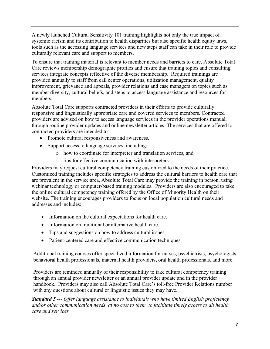A newly launched Cultural Sensitivity 101 training highlights not only the true impact of systemic racism and its contribution to health disparities but also specific health equity laws, tools such as the accessing language services and new steps staff can take in their role to provide culturally relevant care and support to members.

To ensure that training material is relevant to member needs and barriers to care, Absolute Total Care reviews membership demographic profiles and ensure that training topics and consulting services integrate concepts reflective of the diverse membership. Required trainings are provided annually to staff from call center operations, utilization management, quality improvement, grievance and appeals, provider relations and case managers on topics such as member diversity, cultural beliefs, and steps to access language assistance and resources for members.

Absolute Total Care supports contracted providers in their efforts to provide culturally responsive and linguistically appropriate care and covered services to members. Contracted providers are advised on how to access language services in the provider operations manual, through routine provider updates and online newsletter articles. The services that are offered to contracted providers are intended to:

- Promote cultural responsiveness and awareness.
- Support access to language services, including:
	- o how to coordinate for interpreter and translation services, and
	- o tips for effective communication with interpreters.

Providers may request cultural competency training customized to the needs of their practice. Customized training includes specific strategies to address the cultural barriers to health care that are prevalent in the service area. Absolute Total Care may provide the training in person, using webinar technology or computer-based training modules. Providers are also encouraged to take the online cultural competency training offered by the Office of Minority Health on their website. The training encourages providers to focus on local population cultural needs and addresses and includes:

- Information on the cultural expectations for health care.
- Information on traditional or alternative health care.
- Tips and suggestions on how to address cultural issues.
- Patient-centered care and effective communication techniques.

Additional training courses offer specialized information for nurses, psychiatrists, psychologists, behavioral health professionals, maternal health providers, oral health professionals, and more.

Providers are reminded annually of their responsibility to take cultural competency training through an annual provider newsletter or an annual provider update and in the provider handbook. Providers may also call Absolute Total Care's toll-free Provider Relations number with any questions about cultural or linguistic issues they may have.

**Standard 5 ---** Offer language assistance to individuals who have limited English proficiency and/or other communication needs, at no cost to them, to facilitate timely access to all health care and services.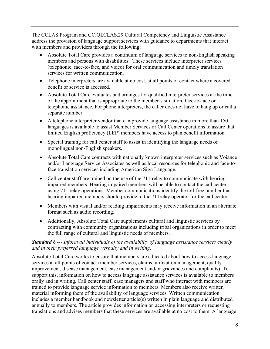The CCLAS Program and CC.QI.CLAS.29 Cultural Competency and Linguistic Assistance address the provision of language support services with guidance to departments that interact with members and providers through the following:

- Absolute Total Care provides a continuum of language services to non-English speaking members and persons with disabilities. These services include interpreter services (telephonic, face-to-face, and video) for oral communication and timely translation services for written communication.
- Telephone interpreters are available at no cost, at all points of contact where a covered benefit or service is accessed.
- Absolute Total Care evaluates and arranges for qualified interpreter services at the time of the appointment that is appropriate to the member's situation, face-to-face or telephonic assistance. For phone interpreters, the caller does not have to hang up or call a separate number.
- A telephone interpreter vendor that can provide language assistance in more than 150 languages is available to assist Member Services or Call Center operations to assure that limited English proficiency (LEP) members have access to plan benefit information.
- Special training for call center staff to assist in identifying the language needs of monolingual non-English speakers.
- Absolute Total Care contracts with nationally known interpreter services such as Voiance and/or Language Service Associates as well as local resources for telephonic and face-toface translation services including American Sign Language.
- Call center staff are trained on the use of the 711 relay to communicate with hearing impaired members. Hearing impaired members will be able to contact the call center using 711 relay operations. Member communications identify the toll-free number that hearing impaired members should provide to the 711relay operator for the call center.
- Members with visual and/or reading impairments may receive information in an alternate format such as audio recording.
- Additionally, Absolute Total Care supplements cultural and linguistic services by contracting with community organizations including tribal organizations in order to meet the full range of cultural and linguistic needs of members.

## Standard 6 --- Inform all individuals of the availability of language assistance services clearly and in their preferred language, verbally and in writing.

Absolute Total Care works to ensure that members are educated about how to access language services at all points of contact (member services, claims, utilization management, quality improvement, disease management, case management and/or grievances and complaints). To support this, information on how to access language assistance services is available to members orally and in writing. Call center staff, case managers and staff who interact with members are trained to provide language service information to members. Members also receive written material informing them of the availability of language services. Written communication includes a member handbook and newsletter article(s) written in plain language and distributed annually to members. The article provides information on accessing interpreters or requesting translations and advises members that these services are available at no cost to them. A language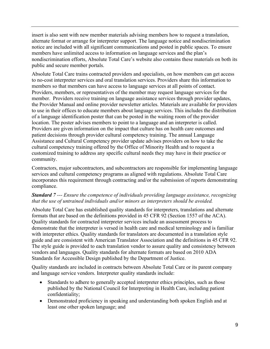insert is also sent with new member materials advising members how to request a translation, alternate format or arrange for interpreter support. The language notice and nondiscrimination notice are included with all significant communications and posted in public spaces. To ensure members have unlimited access to information on language services and the plan's nondiscrimination efforts, Absolute Total Care's website also contains these materials on both its public and secure member portals.

Absolute Total Care trains contracted providers and specialists, on how members can get access to no-cost interpreter services and oral translation services. Providers share this information to members so that members can have access to language services at all points of contact. Providers, members, or representatives of the member may request language services for the member. Providers receive training on language assistance services through provider updates, the Provider Manual and online provider newsletter articles. Materials are available for providers to use in their offices to educate members about language services. This includes the distribution of a language identification poster that can be posted in the waiting room of the provider location. The poster advises members to point to a language and an interpreter is called. Providers are given information on the impact that culture has on health care outcomes and patient decisions through provider cultural competency training. The annual Language Assistance and Cultural Competency provider update advises providers on how to take the cultural competency training offered by the Office of Minority Health and to request a customized training to address any specific cultural needs they may have in their practice or community.

Contractors, major subcontractors, and subcontractors are responsible for implementing language services and cultural competency programs as aligned with regulations. Absolute Total Care incorporates this requirement through contracting and/or the submission of reports demonstrating compliance.

#### **Standard** 7--- Ensure the competence of individuals providing language assistance, recognizing that the use of untrained individuals and/or minors as interpreters should be avoided.

Absolute Total Care has established quality standards for interpreters, translations and alternate formats that are based on the definitions provided in 45 CFR 92 (Section 1557 of the ACA). Quality standards for contracted interpreter services include an assessment process to demonstrate that the interpreter is versed in health care and medical terminology and is familiar with interpreter ethics. Quality standards for translators are documented in a translation style guide and are consistent with American Translator Association and the definitions in 45 CFR 92. The style guide is provided to each translation vendor to assure quality and consistency between vendors and languages. Quality standards for alternate formats are based on 2010 ADA Standards for Accessible Design published by the Department of Justice.

Quality standards are included in contracts between Absolute Total Care or its parent company and language service vendors. Interpreter quality standards include:

- Standards to adhere to generally accepted interpreter ethics principles, such as those published by the National Council for Interpreting in Health Care, including patient confidentiality;
- Demonstrated proficiency in speaking and understanding both spoken English and at least one other spoken language; and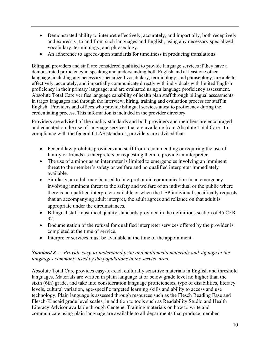- Demonstrated ability to interpret effectively, accurately, and impartially, both receptively and expressly, to and from such languages and English, using any necessary specialized vocabulary, terminology, and phraseology.
- An adherence to agreed-upon standards for timeliness in producing translations.

Bilingual providers and staff are considered qualified to provide language services if they have a demonstrated proficiency in speaking and understanding both English and at least one other language, including any necessary specialized vocabulary, terminology, and phraseology; are able to effectively, accurately, and impartially communicate directly with individuals with limited English proficiency in their primary language; and are evaluated using a language proficiency assessment. Absolute Total Care verifies language capability of health plan staff through bilingual assessments in target languages and through the interview, hiring, training and evaluation process for staff in English. Providers and offices who provide bilingual services attest to proficiency during the credentialing process. This information is included in the provider directory.

Providers are advised of the quality standards and both providers and members are encouraged and educated on the use of language services that are available from Absolute Total Care. In compliance with the federal CLAS standards, providers are advised that:

- Federal law prohibits providers and staff from recommending or requiring the use of family or friends as interpreters or requesting them to provide an interpreter.
- The use of a minor as an interpreter is limited to emergencies involving an imminent threat to the member's safety or welfare and no qualified interpreter immediately available.
- Similarly, an adult may be used to interpret or aid communication in an emergency involving imminent threat to the safety and welfare of an individual or the public where there is no qualified interpreter available or when the LEP individual specifically requests that an accompanying adult interpret, the adult agrees and reliance on that adult is appropriate under the circumstances.
- Bilingual staff must meet quality standards provided in the definitions section of 45 CFR 92.
- Documentation of the refusal for qualified interpreter services offered by the provider is completed at the time of service.
- Interpreter services must be available at the time of the appointment.

#### **Standard 8** --- Provide easy-to-understand print and multimedia materials and signage in the languages commonly used by the populations in the service area.

Absolute Total Care provides easy-to-read, culturally sensitive materials in English and threshold languages. Materials are written in plain language at or below grade level no higher than the sixth (6th) grade, and take into consideration language proficiencies, type of disabilities, literacy levels, cultural variation, age-specific targeted learning skills and ability to access and use technology. Plain language is assessed through resources such as the Flesch Reading Ease and Flesch-Kincaid grade level scales, in addition to tools such as Readability Studio and Health Literacy Advisor available through Centene. Training materials on how to write and communicate using plain language are available to all departments that produce member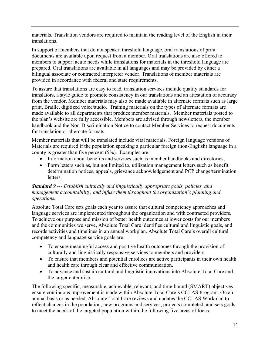materials. Translation vendors are required to maintain the reading level of the English in their translations.

In support of members that do not speak a threshold language, oral translations of print documents are available upon request from a member. Oral translations are also offered to members to support acute needs while translations for materials in the threshold language are prepared. Oral translations are available in all languages and may be provided by either a bilingual associate or contracted interpreter vendor. Translations of member materials are provided in accordance with federal and state requirements.

To assure that translations are easy to read, translation services include quality standards for translators, a style guide to promote consistency in our translations and an attestation of accuracy from the vendor. Member materials may also be made available in alternate formats such as large print, Braille, digitized voice/audio. Training materials on the types of alternate formats are made available to all departments that produce member materials. Member materials posted to the plan's website are fully accessible. Members are advised through newsletters, the member handbook and the Non-Discrimination Notice to contact Member Services to request documents for translation or alternate formats.

Member materials that will be translated include vital materials. Foreign language versions of Materials are required if the population speaking a particular foreign (non-English) language in a county is greater than five percent (5%). Examples are:

- Information about benefits and services such as member handbooks and directories;
- Form letters such as, but not limited to, utilization management letters such as benefit determination notices, appeals, grievance acknowledgement and PCP change/termination letters.

# **Standard 9 ---** Establish culturally and linguistically appropriate goals, policies, and management accountability, and infuse them throughout the organization's planning and operations.

Absolute Total Care sets goals each year to assure that cultural competency approaches and language services are implemented throughout the organization and with contracted providers. To achieve our purpose and mission of better health outcomes at lower costs for our members and the communities we serve, Absolute Total Care identifies cultural and linguistic goals, and records activities and timelines in an annual workplan. Absolute Total Care's overall cultural competency and language service goals are:

- To ensure meaningful access and positive health outcomes through the provision of culturally and linguistically responsive services to members and providers.
- To ensure that members and potential enrollees are active participants in their own health and health care through clear and effective communication.
- To advance and sustain cultural and linguistic innovations into Absolute Total Care and the larger enterprise.

The following specific, measurable, achievable, relevant, and time-bound (SMART) objectives ensure continuous improvement is made within Absolute Total Care's CCLAS Program. On an annual basis or as needed, Absolute Total Care reviews and updates the CCLAS Workplan to reflect changes in the population, new programs and services, projects completed, and sets goals to meet the needs of the targeted population within the following five areas of focus: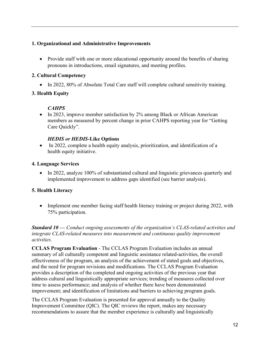# 1. Organizational and Administrative Improvements

• Provide staff with one or more educational opportunity around the benefits of sharing pronouns in introductions, email signatures, and meeting profiles.

### 2. Cultural Competency

• In 2022, 80% of Absolute Total Care staff will complete cultural sensitivity training.

# 3. Health Equity

# **CAHPS**

• In 2023, improve member satisfaction by 2% among Black or African American members as measured by percent change in prior CAHPS reporting year for "Getting Care Quickly".

## HEDIS or HEDIS-Like Options

• In 2022, complete a health equity analysis, prioritization, and identification of a health equity initiative.

## 4. Language Services

• In 2022, analyze 100% of substantiated cultural and linguistic grievances quarterly and implemented improvement to address gaps identified (see barrier analysis).

# 5. Health Literacy

• Implement one member facing staff health literacy training or project during 2022, with 75% participation.

**Standard 10 ---** Conduct ongoing assessments of the organization's CLAS-related activities and integrate CLAS-related measures into measurement and continuous quality improvement activities.

CCLAS Program Evaluation - The CCLAS Program Evaluation includes an annual summary of all culturally competent and linguistic assistance related-activities, the overall effectiveness of the program, an analysis of the achievement of stated goals and objectives, and the need for program revisions and modifications. The CCLAS Program Evaluation provides a description of the completed and ongoing activities of the previous year that address cultural and linguistically appropriate services; trending of measures collected over time to assess performance; and analysis of whether there have been demonstrated improvement; and identification of limitations and barriers to achieving program goals.

The CCLAS Program Evaluation is presented for approval annually to the Quality Improvement Committee (QIC). The QIC reviews the report, makes any necessary recommendations to assure that the member experience is culturally and linguistically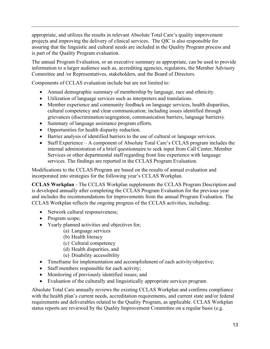appropriate, and utilizes the results in relevant Absolute Total Care's quality improvement projects and improving the delivery of clinical services. The QIC is also responsible for assuring that the linguistic and cultural needs are included in the Quality Program process and is part of the Quality Program evaluation.

The annual Program Evaluation, or an executive summary as appropriate, can be used to provide information to a larger audience such as, accrediting agencies, regulators, the Member Advisory Committee and /or Representatives, stakeholders, and the Board of Directors.

Components of CCLAS evaluation include but are not limited to:

- Annual demographic summary of membership by language, race and ethnicity.
- Utilization of language services such as interpreters and translations.
- Member experience and community feedback on language services, health disparities, cultural competency and clear communication; including issues identified through grievances (discrimination/segregation, communication barriers, language barriers).
- Summary of language assistance program efforts.
- Opportunities for health disparity reduction.
- Barrier analysis of identified barriers to the use of cultural or language services.
- Staff Experience A component of Absolute Total Care's CCLAS program includes the internal administration of a brief questionnaire to seek input from Call Center, Member Services or other departmental staff regarding front line experience with language services. The findings are reported in the CCLAS Program Evaluation.

Modifications to the CCLAS Program are based on the results of annual evaluation and incorporated into strategies for the following year's CCLAS Workplan.

CCLAS Workplan - The CCLAS Workplan supplements the CCLAS Program Description and is developed annually after completing the CCLAS Program Evaluation for the previous year and includes the recommendations for improvements from the annual Program Evaluation. The CCLAS Workplan reflects the ongoing progress of the CCLAS activities, including:

- Network cultural responsiveness;
- Program scope;
- Yearly planned activities and objectives for;
	- (a) Language services
		- (b) Health literacy
		- (c) Cultural competency
		- (d) Health disparities, and
		- (e) Disability accessibility
- Timeframe for implementation and accomplishment of each activity/objective;
- Staff members responsible for each activity;
- Monitoring of previously identified issues; and
- Evaluation of the culturally and linguistically appropriate services program.

Absolute Total Care annually reviews the existing CCLAS Workplan and confirms compliance with the health plan's current needs, accreditation requirements, and current state and/or federal requirements and deliverables related to the Quality Program, as applicable. CCLAS Workplan status reports are reviewed by the Quality Improvement Committee on a regular basis (e.g.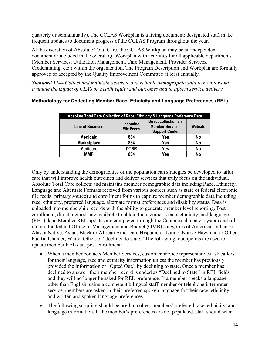quarterly or semiannually). The CCLAS Workplan is a living document; designated staff make frequent updates to document progress of the CCLAS Program throughout the year.

At the discretion of Absolute Total Care, the CCLAS Workplan may be an independent document or included in the overall QI Workplan with activities for all applicable departments (Member Services, Utilization Management, Care Management, Provider Services, Credentialing, etc.) within the organization. The Program Description and Workplan are formally approved or accepted by the Quality Improvement Committee at least annually.

**Standard 11---** Collect and maintain accurate and reliable demographic data to monitor and evaluate the impact of CLAS on health equity and outcomes and to inform service delivery.

| Absolute Total Care Collection of Race, Ethnicity & Language Preference Data |                               |                                                                          |         |  |
|------------------------------------------------------------------------------|-------------------------------|--------------------------------------------------------------------------|---------|--|
| <b>Line of Business</b>                                                      | Incoming<br><b>File Feeds</b> | Direct collection via<br><b>Member Services</b><br><b>Support Center</b> | Website |  |
| <b>Medicaid</b>                                                              | 834                           | <b>Yes</b>                                                               | No      |  |
| <b>Marketplace</b>                                                           | 834                           | Yes                                                                      | No      |  |
| <b>Medicare</b>                                                              | <b>DTRR</b>                   | Yes                                                                      | No      |  |
| ММР                                                                          | 834                           | Yes                                                                      | No      |  |

# Methodology for Collecting Member Race, Ethnicity and Language Preferences (REL)

Only by understanding the demographics of the population can strategies be developed to tailor care that will improve health outcomes and deliver services that truly focus on the individual. Absolute Total Care collects and maintains member demographic data including Race, Ethnicity, Language and Alternate Formats received from various sources such as state or federal electronic file feeds (primary source) and enrollment forms to capture member demographic data including race, ethnicity, preferred language, alternate format preferences and disability status. Data is uploaded into membership records with the ability to generate member level reporting. Post enrollment, direct methods are available to obtain the member's race, ethnicity, and language (REL) data. Member REL updates are completed through the Centene call center system and roll up into the federal Office of Management and Budget (OMB) categories of American Indian or Alaska Native, Asian, Black or African American, Hispanic or Latino, Native Hawaiian or Other Pacific Islander, White, Other, or "declined to state." The following touchpoints are used to update member REL data post-enrollment:

- When a member contacts Member Services, customer service representatives ask callers for their language, race and ethnicity information unless the member has previously provided the information or "Opted Out," by declining to state. Once a member has declined to answer, their member record is coded as "Declined to State" in REL fields and they will no longer be asked for REL preference. If a member speaks a language other than English, using a competent bilingual staff member or telephone interpreter service, members are asked in their preferred spoken language for their race, ethnicity and written and spoken language preferences.
- The following scripting should be used to collect members' preferred race, ethnicity, and language information. If the member's preferences are not populated, staff should select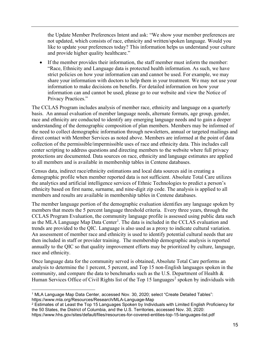the Update Member Preferences Intent and ask: "We show your member preferences are not updated, which consists of race, ethnicity and written/spoken language. Would you like to update your preferences today? This information helps us understand your culture and provide higher quality healthcare."

 If the member provides their information, the staff member must inform the member: "Race, Ethnicity and Language data is protected health information. As such, we have strict policies on how your information can and cannot be used. For example, we may share your information with doctors to help them in your treatment. We may not use your information to make decisions on benefits. For detailed information on how your information can and cannot be used, please go to our website and view the Notice of Privacy Practices."

The CCLAS Program includes analysis of member race, ethnicity and language on a quarterly basis. An annual evaluation of member language needs, alternate formats, age group, gender, race and ethnicity are conducted to identify any emerging language needs and to gain a deeper understanding of the demographic composition of plan members. Members may be informed of the need to collect demographic information through newsletters, annual or targeted mailings and direct contact with Member Services as noted above. Members are informed at the point of data collection of the permissible/impermissible uses of race and ethnicity data. This includes call center scripting to address questions and directing members to the website where full privacy protections are documented. Data sources on race, ethnicity and language estimates are applied to all members and is available in membership tables in Centene databases.

Census data, indirect race/ethnicity estimations and local data sources aid in creating a demographic profile when member reported data is not sufficient. Absolute Total Care utilizes the analytics and artificial intelligence services of Ethnic Technologies to predict a person's ethnicity based on first name, surname, and nine-digit zip code. The analysis is applied to all members and results are available in membership tables in Centene databases.

The member language portion of the demographic evaluation identifies any language spoken by members that meets the 5 percent language threshold criteria. Every three years, through the CCLAS Program Evaluation, the community language profile is assessed using public data such as the MLA Language Map Data Center<sup>1</sup>. The data is included in the CCLAS evaluation and trends are provided to the QIC. Language is also used as a proxy to indicate cultural variation. An assessment of member race and ethnicity is used to identify potential cultural needs that are then included in staff or provider training. The membership demographic analysis is reported annually to the QIC so that quality improvement efforts may be prioritized by culture, language, race and ethnicity.

Once language data for the community served is obtained, Absolute Total Care performs an analysis to determine the 1 percent, 5 percent, and Top 15 non-English languages spoken in the community, and compare the data to benchmarks such as the U.S. Department of Health  $\&$ Human Services Office of Civil Rights list of the Top 15 languages<sup>2</sup> spoken by individuals with

<sup>1</sup> MLA Language Map Data Center, accessed Nov. 30, 2020; select "Create Detailed Tables": https://www.mla.org/Resources/Research/MLA-Language-Map

 $^2$  Estimates of at Least the Top 15 Languages Spoken by Individuals with Limited English Proficiency for the 50 States, the District of Columbia, and the U.S. Territories, accessed Nov. 30, 2020: https://www.hhs.gov/sites/default/files/resources-for-covered-entities-top-15-languages-list.pdf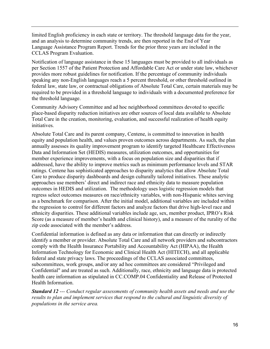limited English proficiency in each state or territory. The threshold language data for the year, and an analysis to determine community trends, are then reported in the End of Year Language Assistance Program Report. Trends for the prior three years are included in the CCLAS Program Evaluation.

Notification of language assistance in these 15 languages must be provided to all individuals as per Section 1557 of the Patient Protection and Affordable Care Act or under state law, whichever provides more robust guidelines for notification. If the percentage of community individuals speaking any non-English languages reach a 5 percent threshold, or other threshold outlined in federal law, state law, or contractual obligations of Absolute Total Care, certain materials may be required to be provided in a threshold language to individuals with a documented preference for the threshold language.

Community Advisory Committee and ad hoc neighborhood committees devoted to specific place-based disparity reduction initiatives are other sources of local data available to Absolute Total Care in the creation, monitoring, evaluation, and successful realization of health equity initiatives.

Absolute Total Care and its parent company, Centene, is committed to innovation in health equity and population health, and values proven outcomes across departments. As such, the plan annually assesses its quality improvement program to identify targeted Healthcare Effectiveness Data and Information Set (HEDIS) measures, utilization outcomes, and opportunities for member experience improvements, with a focus on population size and disparities that if addressed, have the ability to improve metrics such as minimum performance levels and STAR ratings. Centene has sophisticated approaches to disparity analytics that allow Absolute Total Care to produce disparity dashboards and design culturally tailored initiatives. These analytic approaches use members' direct and indirect race and ethnicity data to measure population outcomes in HEDIS and utilization. The methodology uses logistic regression models that regress select outcomes measures on race/ethnicity variables, with non-Hispanic whites serving as a benchmark for comparison. After the initial model, additional variables are included within the regression to control for different factors and analyze factors that drive high-level race and ethnicity disparities. These additional variables include age, sex, member product, IPRO's Risk Score (as a measure of member's health and clinical history), and a measure of the rurality of the zip code associated with the member's address.

Confidential information is defined as any data or information that can directly or indirectly identify a member or provider. Absolute Total Care and all network providers and subcontractors comply with the Health Insurance Portability and Accountability Act (HIPAA), the Health Information Technology for Economic and Clinical Health Act (HITECH), and all applicable federal and state privacy laws. The proceedings of the CCLAS associated committees, subcommittees, work groups, and/or any ad hoc committees are considered "Privileged and Confidential" and are treated as such. Additionally, race, ethnicity and language data is protected health care information as stipulated in CC.COMP.04 Confidentiality and Release of Protected Health Information.

Standard 12 --- Conduct regular assessments of community health assets and needs and use the results to plan and implement services that respond to the cultural and linguistic diversity of populations in the service area.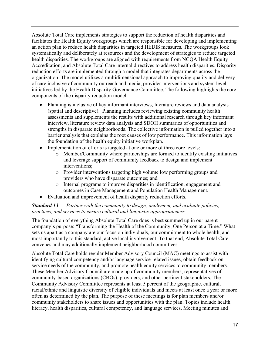Absolute Total Care implements strategies to support the reduction of health disparities and facilitates the Health Equity workgroups which are responsible for developing and implementing an action plan to reduce health disparities in targeted HEDIS measures. The workgroups look systematically and deliberately at resources and the development of strategies to reduce targeted health disparities. The workgroups are aligned with requirements from NCQA Health Equity Accreditation, and Absolute Total Care internal directives to address health disparities. Disparity reduction efforts are implemented through a model that integrates departments across the organization. The model utilizes a multidimensional approach to improving quality and delivery of care inclusive of community outreach and media, provider interventions and system level initiatives led by the Health Disparity Governance Committee. The following highlights the core components of the disparity reduction model:

- Planning is inclusive of key informant interviews, literature reviews and data analysis (spatial and descriptive). Planning includes reviewing existing community health assessments and supplements the results with additional research through key informant interview, literature review data analysis and SDOH summaries of opportunities and strengths in disparate neighborhoods. The collective information is pulled together into a barrier analysis that explains the root causes of low performance. This information lays the foundation of the health equity initiative workplan.
- Implementation of efforts is targeted at one or more of three core levels:
	- o Member/Community where partnerships are formed to identify existing initiatives and leverage support of community feedback to design and implement interventions;
	- o Provider interventions targeting high volume low performing groups and providers who have disparate outcomes; and
	- o Internal programs to improve disparities in identification, engagement and outcomes in Case Management and Population Health Management.
- Evaluation and improvement of health disparity reduction efforts.

#### **Standard 13 ---** Partner with the community to design, implement, and evaluate policies, practices, and services to ensure cultural and linguistic appropriateness.

The foundation of everything Absolute Total Care does is best summed up in our parent company's purpose: "Transforming the Health of the Community, One Person at a Time." What sets us apart as a company are our focus on individuals, our commitment to whole health, and most importantly to this standard, active local involvement. To that end, Absolute Total Care convenes and may additionally implement neighborhood committees.

Absolute Total Care holds regular Member Advisory Council (MAC) meetings to assist with identifying cultural competency and/or language service-related issues, obtain feedback on service needs of the community, and promote health equity services to community members. These Member Advisory Council are made up of community members, representatives of community-based organizations (CBOs), providers, and other pertinent stakeholders. The Community Advisory Committee represents at least 5 percent of the geographic, cultural, racial/ethnic and linguistic diversity of eligible individuals and meets at least once a year or more often as determined by the plan. The purpose of these meetings is for plan members and/or community stakeholders to share issues and opportunities with the plan. Topics include health literacy, health disparities, cultural competency, and language services. Meeting minutes and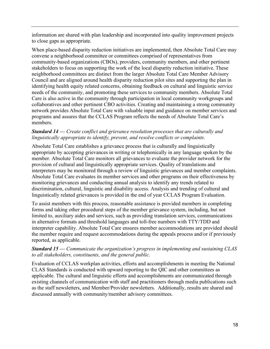information are shared with plan leadership and incorporated into quality improvement projects to close gaps as appropriate.

When place-based disparity reduction initiatives are implemented, then Absolute Total Care may convene a neighborhood committee or committees comprised of representatives from community-based organizations (CBOs), providers, community members, and other pertinent stakeholders to focus on supporting the work of the local disparity reduction initiative. These neighborhood committees are distinct from the larger Absolute Total Care Member Advisory Council and are aligned around health disparity reduction pilot sites and supporting the plan in identifying health equity related concerns, obtaining feedback on cultural and linguistic service needs of the community, and promoting these services to community members. Absolute Total Care is also active in the community through participation in local community workgroups and collaboratives and other pertinent CBO activities. Creating and maintaining a strong community network provides Absolute Total Care with valuable input and guidance on member services and programs and assures that the CCLAS Program reflects the needs of Absolute Total Care's members.

#### Standard 14 --- Create conflict and grievance resolution processes that are culturally and linguistically appropriate to identify, prevent, and resolve conflicts or complaints.

Absolute Total Care establishes a grievance process that is culturally and linguistically appropriate by accepting grievances in writing or telephonically in any language spoken by the member. Absolute Total Care monitors all grievances to evaluate the provider network for the provision of cultural and linguistically appropriate services. Quality of translations and interpreters may be monitored through a review of linguistic grievances and member complaints. Absolute Total Care evaluates its member services and other programs on their effectiveness by monitoring grievances and conducting annual analysis to identify any trends related to discrimination, cultural, linguistic and disability access. Analysis and trending of cultural and linguistically related grievances is provided in the end of year CCLAS Program Evaluation.

To assist members with this process, reasonable assistance is provided members in completing forms and taking other procedural steps of the member grievance system, including, but not limited to, auxiliary aides and services, such as providing translation services, communications in alternative formats and threshold languages and toll-free numbers with TTY/TDD and interpreter capability. Absolute Total Care ensures member accommodations are provided should the member require and request accommodations during the appeals process and/or if previously reported, as applicable.

#### Standard 15 --- Communicate the organization's progress in implementing and sustaining CLAS to all stakeholders, constituents, and the general public.

Evaluation of CCLAS workplan activities, efforts and accomplishments in meeting the National CLAS Standards is conducted with upward reporting to the QIC and other committees as applicable. The cultural and linguistic efforts and accomplishments are communicated through existing channels of communication with staff and practitioners through media publications such as the staff newsletters, and Member/Provider newsletters. Additionally, results are shared and discussed annually with community/member advisory committees.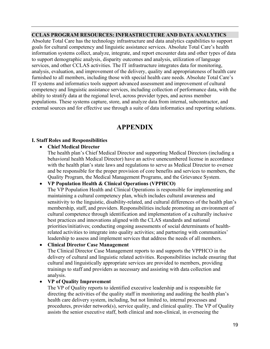#### CCLAS PROGRAM RESOURCES: INFRASTRUCTURE AND DATA ANALYTICS

Absolute Total Care has the technology infrastructure and data analytics capabilities to support goals for cultural competency and linguistic assistance services. Absolute Total Care's health information systems collect, analyze, integrate, and report encounter data and other types of data to support demographic analysis, disparity outcomes and analysis, utilization of language services, and other CCLAS activities. The IT infrastructure integrates data for monitoring, analysis, evaluation, and improvement of the delivery, quality and appropriateness of health care furnished to all members, including those with special health care needs. Absolute Total Care's IT systems and informatics tools support advanced assessment and improvement of cultural competency and linguistic assistance services, including collection of performance data, with the ability to stratify data at the regional level, across provider types, and across member populations. These systems capture, store, and analyze data from internal, subcontractor, and external sources and for effective use through a suite of data informatics and reporting solutions.

# APPENDIX

#### I. Staff Roles and Responsibilities

#### Chief Medical Director

The health plan's Chief Medical Director and supporting Medical Directors (including a behavioral health Medical Director) have an active unencumbered license in accordance with the health plan's state laws and regulations to serve as Medical Director to oversee and be responsible for the proper provision of core benefits and services to members, the Quality Program, the Medical Management Programs, and the Grievance System.

#### VP Population Health & Clinical Operations (VPPHCO)

The VP Population Health and Clinical Operations is responsible for implementing and maintaining a cultural competency plan, which includes cultural awareness and sensitivity to the linguistic, disability-related, and cultural differences of the health plan's membership, staff, and providers. Responsibilities include promoting an environment of cultural competence through identification and implementation of a culturally inclusive best practices and innovations aligned with the CLAS standards and national priorities/initiatives; conducting ongoing assessments of social determinants of healthrelated activities to integrate into quality activities; and partnering with communities' leadership to assess and implement services that address the needs of all members.

#### Clinical Director Case Management

The Clinical Director Case Management reports to and supports the VPPHCO in the delivery of cultural and linguistic related activities. Responsibilities include ensuring that cultural and linguistically appropriate services are provided to members, providing trainings to staff and providers as necessary and assisting with data collection and analysis.

#### VP of Quality Improvement

The VP of Quality reports to identified executive leadership and is responsible for directing the activities of the quality staff in monitoring and auditing the health plan's health care delivery system, including, but not limited to, internal processes and procedures, provider network(s), service quality, and clinical quality. The VP of Quality assists the senior executive staff, both clinical and non-clinical, in overseeing the